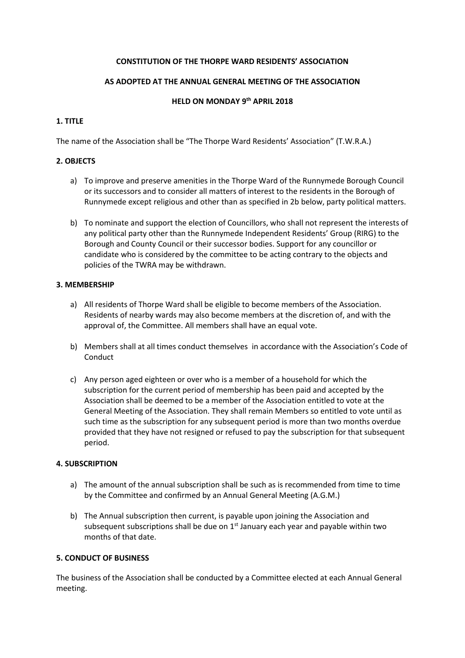#### **CONSTITUTION OF THE THORPE WARD RESIDENTS' ASSOCIATION**

### **AS ADOPTED AT THE ANNUAL GENERAL MEETING OF THE ASSOCIATION**

### **HELD ON MONDAY 9 th APRIL 2018**

## **1. TITLE**

The name of the Association shall be "The Thorpe Ward Residents' Association" (T.W.R.A.)

## **2. OBJECTS**

- a) To improve and preserve amenities in the Thorpe Ward of the Runnymede Borough Council or its successors and to consider all matters of interest to the residents in the Borough of Runnymede except religious and other than as specified in 2b below, party political matters.
- b) To nominate and support the election of Councillors, who shall not represent the interests of any political party other than the Runnymede Independent Residents' Group (RIRG) to the Borough and County Council or their successor bodies. Support for any councillor or candidate who is considered by the committee to be acting contrary to the objects and policies of the TWRA may be withdrawn.

## **3. MEMBERSHIP**

- a) All residents of Thorpe Ward shall be eligible to become members of the Association. Residents of nearby wards may also become members at the discretion of, and with the approval of, the Committee. All members shall have an equal vote.
- b) Members shall at all times conduct themselves in accordance with the Association's Code of **Conduct**
- c) Any person aged eighteen or over who is a member of a household for which the subscription for the current period of membership has been paid and accepted by the Association shall be deemed to be a member of the Association entitled to vote at the General Meeting of the Association. They shall remain Members so entitled to vote until as such time as the subscription for any subsequent period is more than two months overdue provided that they have not resigned or refused to pay the subscription for that subsequent period.

### **4. SUBSCRIPTION**

- a) The amount of the annual subscription shall be such as is recommended from time to time by the Committee and confirmed by an Annual General Meeting (A.G.M.)
- b) The Annual subscription then current, is payable upon joining the Association and subsequent subscriptions shall be due on  $1<sup>st</sup>$  January each year and payable within two months of that date.

### **5. CONDUCT OF BUSINESS**

The business of the Association shall be conducted by a Committee elected at each Annual General meeting.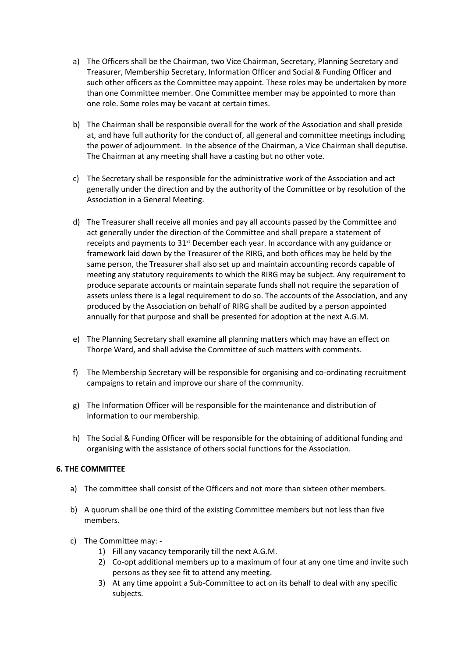- a) The Officers shall be the Chairman, two Vice Chairman, Secretary, Planning Secretary and Treasurer, Membership Secretary, Information Officer and Social & Funding Officer and such other officers as the Committee may appoint. These roles may be undertaken by more than one Committee member. One Committee member may be appointed to more than one role. Some roles may be vacant at certain times.
- b) The Chairman shall be responsible overall for the work of the Association and shall preside at, and have full authority for the conduct of, all general and committee meetings including the power of adjournment. In the absence of the Chairman, a Vice Chairman shall deputise. The Chairman at any meeting shall have a casting but no other vote.
- c) The Secretary shall be responsible for the administrative work of the Association and act generally under the direction and by the authority of the Committee or by resolution of the Association in a General Meeting.
- d) The Treasurer shall receive all monies and pay all accounts passed by the Committee and act generally under the direction of the Committee and shall prepare a statement of receipts and payments to  $31<sup>st</sup>$  December each year. In accordance with any guidance or framework laid down by the Treasurer of the RIRG, and both offices may be held by the same person, the Treasurer shall also set up and maintain accounting records capable of meeting any statutory requirements to which the RIRG may be subject. Any requirement to produce separate accounts or maintain separate funds shall not require the separation of assets unless there is a legal requirement to do so. The accounts of the Association, and any produced by the Association on behalf of RIRG shall be audited by a person appointed annually for that purpose and shall be presented for adoption at the next A.G.M.
- e) The Planning Secretary shall examine all planning matters which may have an effect on Thorpe Ward, and shall advise the Committee of such matters with comments.
- f) The Membership Secretary will be responsible for organising and co-ordinating recruitment campaigns to retain and improve our share of the community.
- g) The Information Officer will be responsible for the maintenance and distribution of information to our membership.
- h) The Social & Funding Officer will be responsible for the obtaining of additional funding and organising with the assistance of others social functions for the Association.

# **6. THE COMMITTEE**

- a) The committee shall consist of the Officers and not more than sixteen other members.
- b) A quorum shall be one third of the existing Committee members but not less than five members.
- c) The Committee may:
	- 1) Fill any vacancy temporarily till the next A.G.M.
	- 2) Co-opt additional members up to a maximum of four at any one time and invite such persons as they see fit to attend any meeting.
	- 3) At any time appoint a Sub-Committee to act on its behalf to deal with any specific subjects.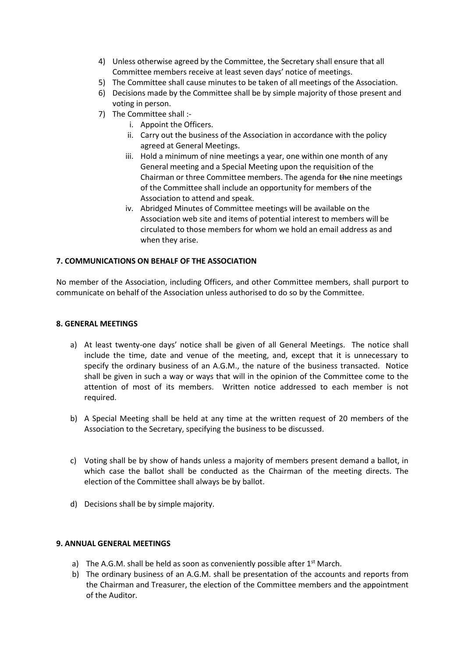- 4) Unless otherwise agreed by the Committee, the Secretary shall ensure that all Committee members receive at least seven days' notice of meetings.
- 5) The Committee shall cause minutes to be taken of all meetings of the Association.
- 6) Decisions made by the Committee shall be by simple majority of those present and voting in person.
- 7) The Committee shall :
	- i. Appoint the Officers.
	- ii. Carry out the business of the Association in accordance with the policy agreed at General Meetings.
	- iii. Hold a minimum of nine meetings a year, one within one month of any General meeting and a Special Meeting upon the requisition of the Chairman or three Committee members. The agenda for the nine meetings of the Committee shall include an opportunity for members of the Association to attend and speak.
	- iv. Abridged Minutes of Committee meetings will be available on the Association web site and items of potential interest to members will be circulated to those members for whom we hold an email address as and when they arise.

## **7. COMMUNICATIONS ON BEHALF OF THE ASSOCIATION**

No member of the Association, including Officers, and other Committee members, shall purport to communicate on behalf of the Association unless authorised to do so by the Committee.

#### **8. GENERAL MEETINGS**

- a) At least twenty-one days' notice shall be given of all General Meetings. The notice shall include the time, date and venue of the meeting, and, except that it is unnecessary to specify the ordinary business of an A.G.M., the nature of the business transacted. Notice shall be given in such a way or ways that will in the opinion of the Committee come to the attention of most of its members. Written notice addressed to each member is not required.
- b) A Special Meeting shall be held at any time at the written request of 20 members of the Association to the Secretary, specifying the business to be discussed.
- c) Voting shall be by show of hands unless a majority of members present demand a ballot, in which case the ballot shall be conducted as the Chairman of the meeting directs. The election of the Committee shall always be by ballot.
- d) Decisions shall be by simple majority.

### **9. ANNUAL GENERAL MEETINGS**

- a) The A.G.M. shall be held as soon as conveniently possible after  $1<sup>st</sup>$  March.
- b) The ordinary business of an A.G.M. shall be presentation of the accounts and reports from the Chairman and Treasurer, the election of the Committee members and the appointment of the Auditor.